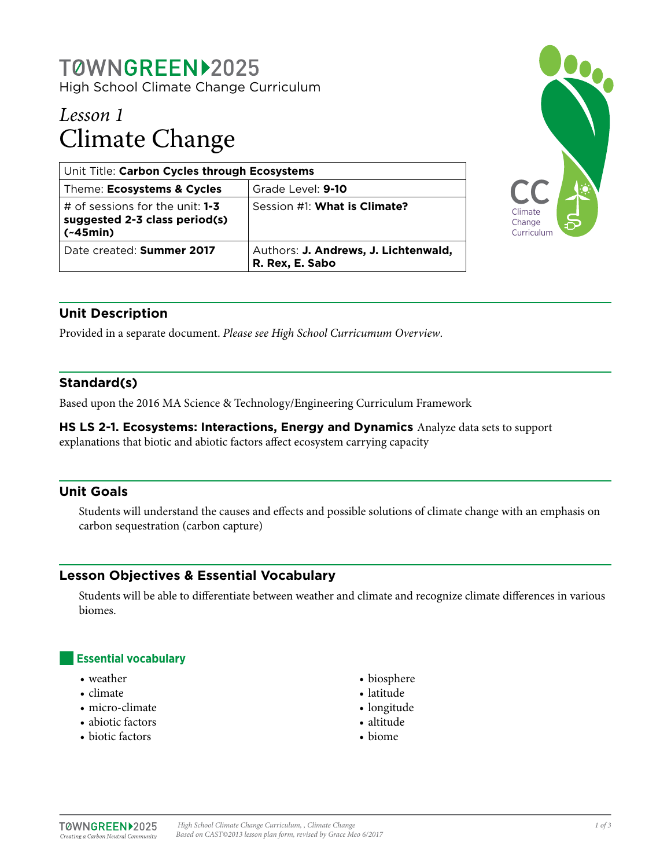# TØWNGREEN>2025

High School Climate Change Curriculum

## *Lesson 1* Climate Change

| Unit Title: Carbon Cycles through Ecosystems                                     |                                                         |
|----------------------------------------------------------------------------------|---------------------------------------------------------|
| Theme: Ecosystems & Cycles                                                       | Grade Level: 9-10                                       |
| # of sessions for the unit: $1-3$<br>suggested 2-3 class period(s)<br>$(-45min)$ | Session #1: What is Climate?                            |
| Date created: Summer 2017                                                        | Authors: J. Andrews, J. Lichtenwald,<br>R. Rex, E. Sabo |



## **Unit Description**

Provided in a separate document. *Please see High School Curricumum Overview*.

## **Standard(s)**

Based upon the 2016 MA Science & Technology/Engineering Curriculum Framework

**HS LS 2-1. Ecosystems: Interactions, Energy and Dynamics** Analyze data sets to support explanations that biotic and abiotic factors affect ecosystem carrying capacity

## **Unit Goals**

Students will understand the causes and effects and possible solutions of climate change with an emphasis on carbon sequestration (carbon capture)

## **Lesson Objectives & Essential Vocabulary**

Students will be able to differentiate between weather and climate and recognize climate differences in various biomes.

## **Essential vocabulary**

- weather
- climate
- micro-climate
- abiotic factors
- biotic factors
- biosphere
- latitude
- longitude
- altitude
- biome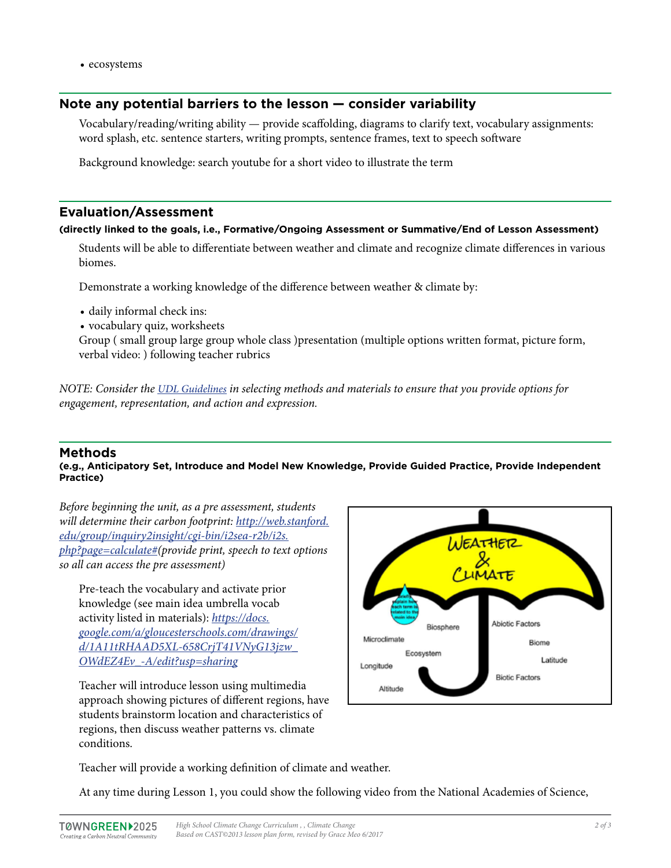• ecosystems

#### **Note any potential barriers to the lesson — consider variability**

Vocabulary/reading/writing ability — provide scaffolding, diagrams to clarify text, vocabulary assignments: word splash, etc. sentence starters, writing prompts, sentence frames, text to speech software

Background knowledge: search youtube for a short video to illustrate the term

#### **Evaluation/Assessment**

#### **(directly linked to the goals, i.e., Formative/Ongoing Assessment or Summative/End of Lesson Assessment)**

Students will be able to differentiate between weather and climate and recognize climate differences in various biomes.

Demonstrate a working knowledge of the difference between weather & climate by:

- daily informal check ins:
- vocabulary quiz, worksheets

Group ( small group large group whole class )presentation (multiple options written format, picture form, verbal video: ) following teacher rubrics

*NOTE: Consider the [UDL Guidelines](http://bit.ly/1d5bjtS) in selecting methods and materials to ensure that you provide options for engagement, representation, and action and expression.* 

#### **Methods**

#### **(e.g., Anticipatory Set, Introduce and Model New Knowledge, Provide Guided Practice, Provide Independent Practice)**

*Before beginning the unit, as a pre assessment, students will determine their carbon footprint: [http://web.stanford.](http://web.stanford.edu/group/inquiry2insight/cgi-bin/i2sea-r2b/i2s.php?page=calculate#) [edu/group/inquiry2insight/cgi-bin/i2sea-r2b/i2s.](http://web.stanford.edu/group/inquiry2insight/cgi-bin/i2sea-r2b/i2s.php?page=calculate#) [php?page=calculate#](http://web.stanford.edu/group/inquiry2insight/cgi-bin/i2sea-r2b/i2s.php?page=calculate#)(provide print, speech to text options so all can access the pre assessment)*

Pre-teach the vocabulary and activate prior knowledge (see main idea umbrella vocab activity listed in materials): *[https://docs.](https://docs.google.com/a/gloucesterschools.com/drawings/d/1A11tRHAAD5XL-658CrjT41VNyG13jzw_OWdEZ4Ev_-A/edit?usp=sharing) [google.com/a/gloucesterschools.com/drawings/](https://docs.google.com/a/gloucesterschools.com/drawings/d/1A11tRHAAD5XL-658CrjT41VNyG13jzw_OWdEZ4Ev_-A/edit?usp=sharing) [d/1A11tRHAAD5XL-658CrjT41VNyG13jzw\\_](https://docs.google.com/a/gloucesterschools.com/drawings/d/1A11tRHAAD5XL-658CrjT41VNyG13jzw_OWdEZ4Ev_-A/edit?usp=sharing) [OWdEZ4Ev\\_-A/edit?usp=sharing](https://docs.google.com/a/gloucesterschools.com/drawings/d/1A11tRHAAD5XL-658CrjT41VNyG13jzw_OWdEZ4Ev_-A/edit?usp=sharing)*

Teacher will introduce lesson using multimedia approach showing pictures of different regions, have students brainstorm location and characteristics of regions, then discuss weather patterns vs. climate conditions.



Teacher will provide a working definition of climate and weather.

At any time during Lesson 1, you could show the following video from the National Academies of Science,